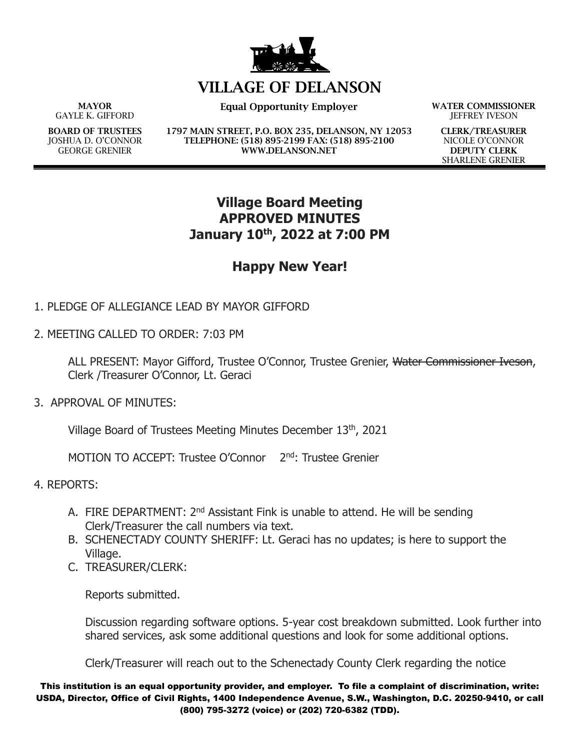

## **VILLAGE OF DELANSON**

**MAYOR** GAYLE K. GIFFORD

**BOARD OF TRUSTEES** JOSHUA D. O'CONNOR GEORGE GRENIER

**Equal Opportunity Employer WATER COMMISSIONER**

**1797 MAIN STREET, P.O. BOX 235, DELANSON, NY 12053 TELEPHONE: (518) 895-2199 FAX: (518) 895-2100 WWW.DELANSON.NET**

JEFFREY IVESON

**CLERK/TREASURER** NICOLE O'CONNOR **DEPUTY CLERK** SHARLENE GRENIER

## **Village Board Meeting APPROVED MINUTES January 10th, 2022 at 7:00 PM**

## **Happy New Year!**

- 1. PLEDGE OF ALLEGIANCE LEAD BY MAYOR GIFFORD
- 2. MEETING CALLED TO ORDER: 7:03 PM

ALL PRESENT: Mayor Gifford, Trustee O'Connor, Trustee Grenier, Water Commissioner Iveson, Clerk /Treasurer O'Connor, Lt. Geraci

3. APPROVAL OF MINUTES:

Village Board of Trustees Meeting Minutes December 13th, 2021

MOTION TO ACCEPT: Trustee O'Connor 2<sup>nd</sup>: Trustee Grenier

4. REPORTS:

- A. FIRE DEPARTMENT: 2<sup>nd</sup> Assistant Fink is unable to attend. He will be sending Clerk/Treasurer the call numbers via text.
- B. SCHENECTADY COUNTY SHERIFF: Lt. Geraci has no updates; is here to support the Village.
- C. TREASURER/CLERK:

Reports submitted.

Discussion regarding software options. 5-year cost breakdown submitted. Look further into shared services, ask some additional questions and look for some additional options.

Clerk/Treasurer will reach out to the Schenectady County Clerk regarding the notice

This institution is an equal opportunity provider, and employer. To file a complaint of discrimination, write: USDA, Director, Office of Civil Rights, 1400 Independence Avenue, S.W., Washington, D.C. 20250-9410, or call (800) 795-3272 (voice) or (202) 720-6382 (TDD).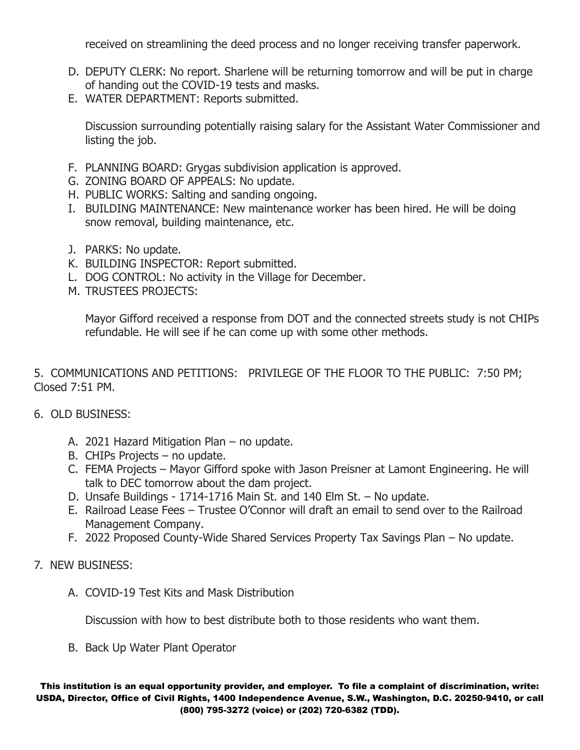received on streamlining the deed process and no longer receiving transfer paperwork.

- D. DEPUTY CLERK: No report. Sharlene will be returning tomorrow and will be put in charge of handing out the COVID-19 tests and masks.
- E. WATER DEPARTMENT: Reports submitted.

Discussion surrounding potentially raising salary for the Assistant Water Commissioner and listing the job.

- F. PLANNING BOARD: Grygas subdivision application is approved.
- G. ZONING BOARD OF APPEALS: No update.
- H. PUBLIC WORKS: Salting and sanding ongoing.
- I. BUILDING MAINTENANCE: New maintenance worker has been hired. He will be doing snow removal, building maintenance, etc.
- J. PARKS: No update.
- K. BUILDING INSPECTOR: Report submitted.
- L. DOG CONTROL: No activity in the Village for December.
- M. TRUSTEES PROJECTS:

Mayor Gifford received a response from DOT and the connected streets study is not CHIPs refundable. He will see if he can come up with some other methods.

5. COMMUNICATIONS AND PETITIONS: PRIVILEGE OF THE FLOOR TO THE PUBLIC: 7:50 PM; Closed 7:51 PM.

- 6. OLD BUSINESS:
	- A. 2021 Hazard Mitigation Plan no update.
	- B. CHIPs Projects no update.
	- C. FEMA Projects Mayor Gifford spoke with Jason Preisner at Lamont Engineering. He will talk to DEC tomorrow about the dam project.
	- D. Unsafe Buildings 1714-1716 Main St. and 140 Elm St. No update.
	- E. Railroad Lease Fees Trustee O'Connor will draft an email to send over to the Railroad Management Company.
	- F. 2022 Proposed County-Wide Shared Services Property Tax Savings Plan No update.
- 7. NEW BUSINESS:
	- A. COVID-19 Test Kits and Mask Distribution

Discussion with how to best distribute both to those residents who want them.

B. Back Up Water Plant Operator